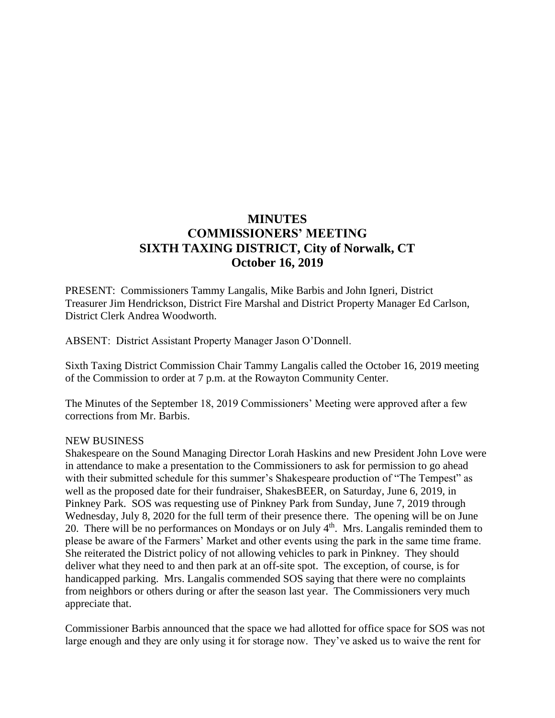# **MINUTES COMMISSIONERS' MEETING SIXTH TAXING DISTRICT, City of Norwalk, CT October 16, 2019**

PRESENT: Commissioners Tammy Langalis, Mike Barbis and John Igneri, District Treasurer Jim Hendrickson, District Fire Marshal and District Property Manager Ed Carlson, District Clerk Andrea Woodworth.

ABSENT: District Assistant Property Manager Jason O'Donnell.

Sixth Taxing District Commission Chair Tammy Langalis called the October 16, 2019 meeting of the Commission to order at 7 p.m. at the Rowayton Community Center.

The Minutes of the September 18, 2019 Commissioners' Meeting were approved after a few corrections from Mr. Barbis.

#### NEW BUSINESS

Shakespeare on the Sound Managing Director Lorah Haskins and new President John Love were in attendance to make a presentation to the Commissioners to ask for permission to go ahead with their submitted schedule for this summer's Shakespeare production of "The Tempest" as well as the proposed date for their fundraiser, ShakesBEER, on Saturday, June 6, 2019, in Pinkney Park. SOS was requesting use of Pinkney Park from Sunday, June 7, 2019 through Wednesday, July 8, 2020 for the full term of their presence there. The opening will be on June 20. There will be no performances on Mondays or on July  $4<sup>th</sup>$ . Mrs. Langalis reminded them to please be aware of the Farmers' Market and other events using the park in the same time frame. She reiterated the District policy of not allowing vehicles to park in Pinkney. They should deliver what they need to and then park at an off-site spot. The exception, of course, is for handicapped parking. Mrs. Langalis commended SOS saying that there were no complaints from neighbors or others during or after the season last year. The Commissioners very much appreciate that.

Commissioner Barbis announced that the space we had allotted for office space for SOS was not large enough and they are only using it for storage now. They've asked us to waive the rent for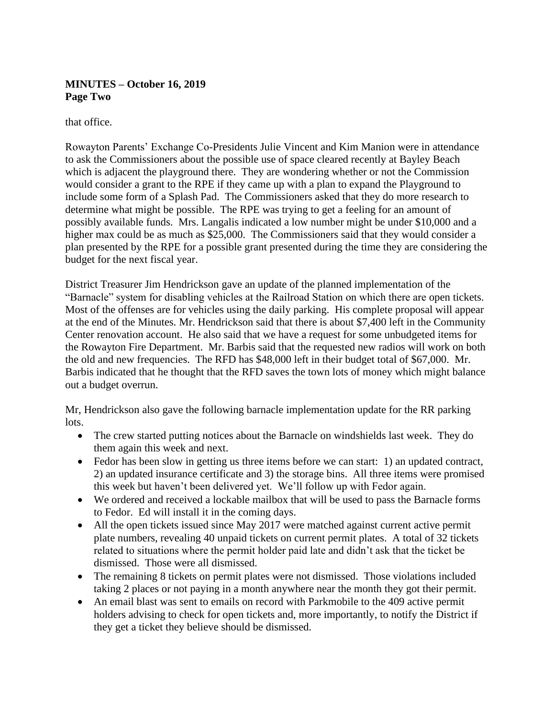# **MINUTES – October 16, 2019 Page Two**

that office.

Rowayton Parents' Exchange Co-Presidents Julie Vincent and Kim Manion were in attendance to ask the Commissioners about the possible use of space cleared recently at Bayley Beach which is adjacent the playground there. They are wondering whether or not the Commission would consider a grant to the RPE if they came up with a plan to expand the Playground to include some form of a Splash Pad. The Commissioners asked that they do more research to determine what might be possible. The RPE was trying to get a feeling for an amount of possibly available funds. Mrs. Langalis indicated a low number might be under \$10,000 and a higher max could be as much as \$25,000. The Commissioners said that they would consider a plan presented by the RPE for a possible grant presented during the time they are considering the budget for the next fiscal year.

District Treasurer Jim Hendrickson gave an update of the planned implementation of the "Barnacle" system for disabling vehicles at the Railroad Station on which there are open tickets. Most of the offenses are for vehicles using the daily parking. His complete proposal will appear at the end of the Minutes. Mr. Hendrickson said that there is about \$7,400 left in the Community Center renovation account. He also said that we have a request for some unbudgeted items for the Rowayton Fire Department. Mr. Barbis said that the requested new radios will work on both the old and new frequencies. The RFD has \$48,000 left in their budget total of \$67,000. Mr. Barbis indicated that he thought that the RFD saves the town lots of money which might balance out a budget overrun.

Mr, Hendrickson also gave the following barnacle implementation update for the RR parking lots.

- The crew started putting notices about the Barnacle on windshields last week. They do them again this week and next.
- Fedor has been slow in getting us three items before we can start: 1) an updated contract, 2) an updated insurance certificate and 3) the storage bins. All three items were promised this week but haven't been delivered yet. We'll follow up with Fedor again.
- We ordered and received a lockable mailbox that will be used to pass the Barnacle forms to Fedor. Ed will install it in the coming days.
- All the open tickets issued since May 2017 were matched against current active permit plate numbers, revealing 40 unpaid tickets on current permit plates. A total of 32 tickets related to situations where the permit holder paid late and didn't ask that the ticket be dismissed. Those were all dismissed.
- The remaining 8 tickets on permit plates were not dismissed. Those violations included taking 2 places or not paying in a month anywhere near the month they got their permit.
- An email blast was sent to emails on record with Parkmobile to the 409 active permit holders advising to check for open tickets and, more importantly, to notify the District if they get a ticket they believe should be dismissed.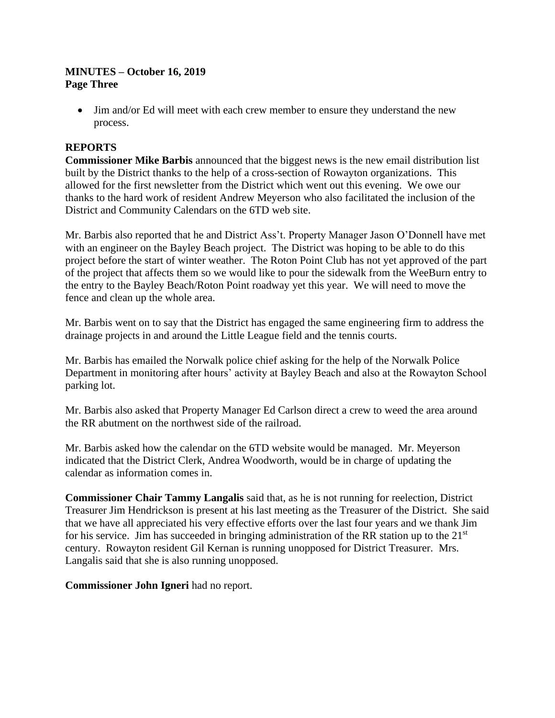#### **MINUTES – October 16, 2019 Page Three**

• Jim and/or Ed will meet with each crew member to ensure they understand the new process.

# **REPORTS**

**Commissioner Mike Barbis** announced that the biggest news is the new email distribution list built by the District thanks to the help of a cross-section of Rowayton organizations. This allowed for the first newsletter from the District which went out this evening. We owe our thanks to the hard work of resident Andrew Meyerson who also facilitated the inclusion of the District and Community Calendars on the 6TD web site.

Mr. Barbis also reported that he and District Ass't. Property Manager Jason O'Donnell have met with an engineer on the Bayley Beach project. The District was hoping to be able to do this project before the start of winter weather. The Roton Point Club has not yet approved of the part of the project that affects them so we would like to pour the sidewalk from the WeeBurn entry to the entry to the Bayley Beach/Roton Point roadway yet this year. We will need to move the fence and clean up the whole area.

Mr. Barbis went on to say that the District has engaged the same engineering firm to address the drainage projects in and around the Little League field and the tennis courts.

Mr. Barbis has emailed the Norwalk police chief asking for the help of the Norwalk Police Department in monitoring after hours' activity at Bayley Beach and also at the Rowayton School parking lot.

Mr. Barbis also asked that Property Manager Ed Carlson direct a crew to weed the area around the RR abutment on the northwest side of the railroad.

Mr. Barbis asked how the calendar on the 6TD website would be managed. Mr. Meyerson indicated that the District Clerk, Andrea Woodworth, would be in charge of updating the calendar as information comes in.

**Commissioner Chair Tammy Langalis** said that, as he is not running for reelection, District Treasurer Jim Hendrickson is present at his last meeting as the Treasurer of the District. She said that we have all appreciated his very effective efforts over the last four years and we thank Jim for his service. Jim has succeeded in bringing administration of the RR station up to the  $21<sup>st</sup>$ century. Rowayton resident Gil Kernan is running unopposed for District Treasurer. Mrs. Langalis said that she is also running unopposed.

**Commissioner John Igneri** had no report.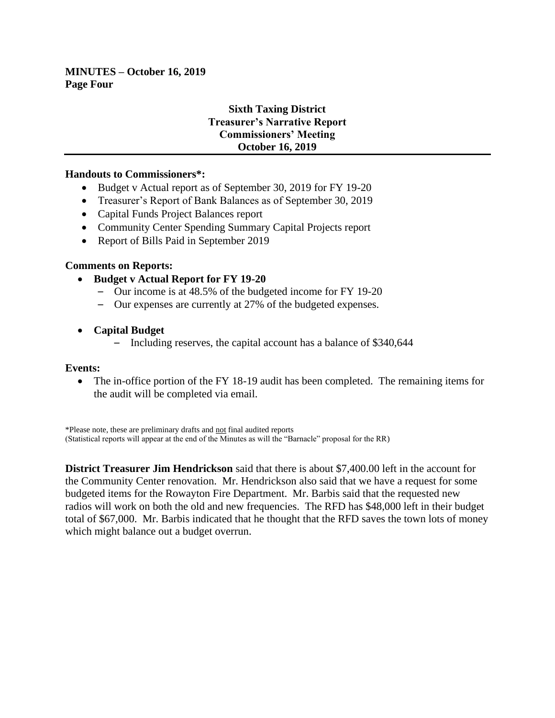#### **MINUTES – October 16, 2019 Page Four**

# **Sixth Taxing District Treasurer's Narrative Report Commissioners' Meeting October 16, 2019**

#### **Handouts to Commissioners\*:**

- Budget v Actual report as of September 30, 2019 for FY 19-20
- Treasurer's Report of Bank Balances as of September 30, 2019
- Capital Funds Project Balances report
- Community Center Spending Summary Capital Projects report
- Report of Bills Paid in September 2019

#### **Comments on Reports:**

- **Budget v Actual Report for FY 19-20**
	- Our income is at 48.5% of the budgeted income for FY 19-20
	- Our expenses are currently at 27% of the budgeted expenses.
- **Capital Budget**
	- Including reserves, the capital account has a balance of \$340,644

#### **Events:**

• The in-office portion of the FY 18-19 audit has been completed. The remaining items for the audit will be completed via email.

\*Please note, these are preliminary drafts and not final audited reports (Statistical reports will appear at the end of the Minutes as will the "Barnacle" proposal for the RR)

**District Treasurer Jim Hendrickson** said that there is about \$7,400.00 left in the account for the Community Center renovation. Mr. Hendrickson also said that we have a request for some budgeted items for the Rowayton Fire Department. Mr. Barbis said that the requested new radios will work on both the old and new frequencies. The RFD has \$48,000 left in their budget total of \$67,000. Mr. Barbis indicated that he thought that the RFD saves the town lots of money which might balance out a budget overrun.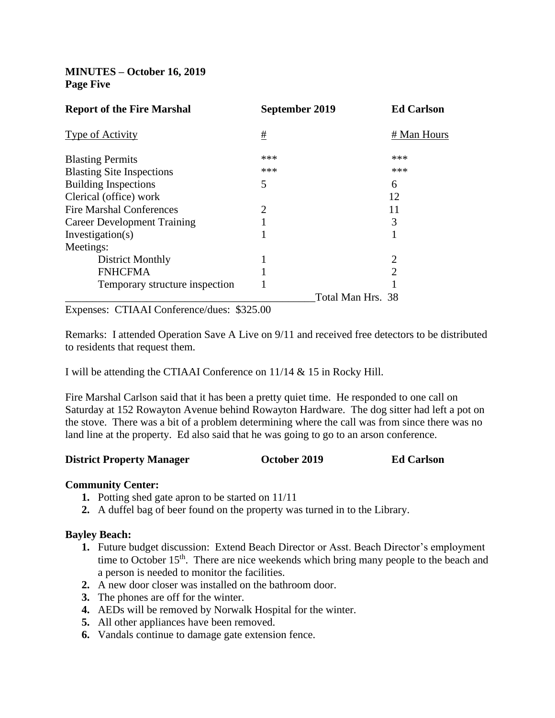**MINUTES – October 16, 2019 Page Five**

|     | <b>Ed Carlson</b>                   |
|-----|-------------------------------------|
| #   | # Man Hours                         |
| *** | ***                                 |
| *** | ***                                 |
| 5   | 6                                   |
|     | 12                                  |
| 2   | 11                                  |
|     | 3                                   |
|     |                                     |
|     |                                     |
|     | 2                                   |
|     | $\overline{2}$                      |
|     |                                     |
|     |                                     |
|     | September 2019<br>Total Man Hrs. 38 |

Expenses: CTIAAI Conference/dues: \$325.00

Remarks: I attended Operation Save A Live on 9/11 and received free detectors to be distributed to residents that request them.

I will be attending the CTIAAI Conference on 11/14 & 15 in Rocky Hill.

Fire Marshal Carlson said that it has been a pretty quiet time. He responded to one call on Saturday at 152 Rowayton Avenue behind Rowayton Hardware. The dog sitter had left a pot on the stove. There was a bit of a problem determining where the call was from since there was no land line at the property. Ed also said that he was going to go to an arson conference.

#### **District Property Manager October 2019 Ed Carlson**

#### **Community Center:**

- **1.** Potting shed gate apron to be started on 11/11
- **2.** A duffel bag of beer found on the property was turned in to the Library.

# **Bayley Beach:**

- **1.** Future budget discussion: Extend Beach Director or Asst. Beach Director's employment time to October 15<sup>th</sup>. There are nice weekends which bring many people to the beach and a person is needed to monitor the facilities.
- **2.** A new door closer was installed on the bathroom door.
- **3.** The phones are off for the winter.
- **4.** AEDs will be removed by Norwalk Hospital for the winter.
- **5.** All other appliances have been removed.
- **6.** Vandals continue to damage gate extension fence.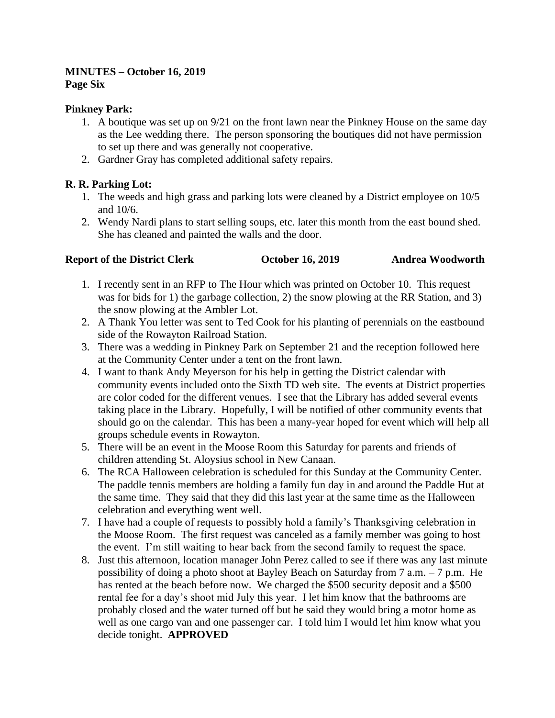#### **MINUTES – October 16, 2019 Page Six**

#### **Pinkney Park:**

- 1. A boutique was set up on 9/21 on the front lawn near the Pinkney House on the same day as the Lee wedding there. The person sponsoring the boutiques did not have permission to set up there and was generally not cooperative.
- 2. Gardner Gray has completed additional safety repairs.

# **R. R. Parking Lot:**

- 1. The weeds and high grass and parking lots were cleaned by a District employee on 10/5 and 10/6.
- 2. Wendy Nardi plans to start selling soups, etc. later this month from the east bound shed. She has cleaned and painted the walls and the door.

# **Report of the District Clerk October 16, 2019 Andrea Woodworth**

- 1. I recently sent in an RFP to The Hour which was printed on October 10. This request was for bids for 1) the garbage collection, 2) the snow plowing at the RR Station, and 3) the snow plowing at the Ambler Lot.
- 2. A Thank You letter was sent to Ted Cook for his planting of perennials on the eastbound side of the Rowayton Railroad Station.
- 3. There was a wedding in Pinkney Park on September 21 and the reception followed here at the Community Center under a tent on the front lawn.
- 4. I want to thank Andy Meyerson for his help in getting the District calendar with community events included onto the Sixth TD web site. The events at District properties are color coded for the different venues. I see that the Library has added several events taking place in the Library. Hopefully, I will be notified of other community events that should go on the calendar. This has been a many-year hoped for event which will help all groups schedule events in Rowayton.
- 5. There will be an event in the Moose Room this Saturday for parents and friends of children attending St. Aloysius school in New Canaan.
- 6. The RCA Halloween celebration is scheduled for this Sunday at the Community Center. The paddle tennis members are holding a family fun day in and around the Paddle Hut at the same time. They said that they did this last year at the same time as the Halloween celebration and everything went well.
- 7. I have had a couple of requests to possibly hold a family's Thanksgiving celebration in the Moose Room. The first request was canceled as a family member was going to host the event. I'm still waiting to hear back from the second family to request the space.
- 8. Just this afternoon, location manager John Perez called to see if there was any last minute possibility of doing a photo shoot at Bayley Beach on Saturday from 7 a.m. – 7 p.m. He has rented at the beach before now. We charged the \$500 security deposit and a \$500 rental fee for a day's shoot mid July this year. I let him know that the bathrooms are probably closed and the water turned off but he said they would bring a motor home as well as one cargo van and one passenger car. I told him I would let him know what you decide tonight. **APPROVED**